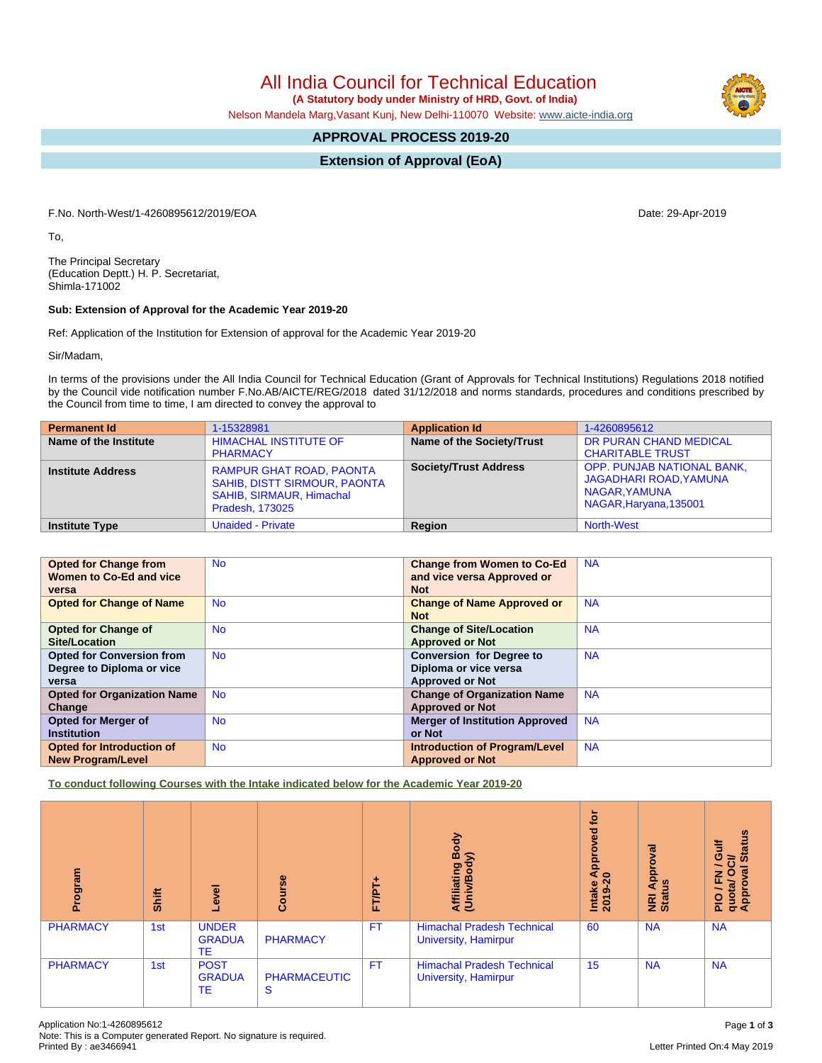All India Council for Technical Education

 **(A Statutory body under Ministry of HRD, Govt. of India)**

Nelson Mandela Marg,Vasant Kunj, New Delhi-110070 Website: [www.aicte-india.org](http://www.aicte-india.org)

# **APPROVAL PROCESS 2019-20**

**Extension of Approval (EoA)**

F.No. North-West/1-4260895612/2019/EOA Date: 29-Apr-2019

To,

The Principal Secretary (Education Deptt.) H. P. Secretariat, Shimla-171002

### **Sub: Extension of Approval for the Academic Year 2019-20**

Ref: Application of the Institution for Extension of approval for the Academic Year 2019-20

Sir/Madam,

In terms of the provisions under the All India Council for Technical Education (Grant of Approvals for Technical Institutions) Regulations 2018 notified by the Council vide notification number F.No.AB/AICTE/REG/2018 dated 31/12/2018 and norms standards, procedures and conditions prescribed by the Council from time to time, I am directed to convey the approval to

| <b>Permanent Id</b>      | 1-15328981                                                                                                            | <b>Application Id</b>        | 1-4260895612                                                                                                  |
|--------------------------|-----------------------------------------------------------------------------------------------------------------------|------------------------------|---------------------------------------------------------------------------------------------------------------|
| Name of the Institute    | <b>HIMACHAL INSTITUTE OF</b><br><b>PHARMACY</b>                                                                       | Name of the Society/Trust    | DR PURAN CHAND MEDICAL<br><b>CHARITABLE TRUST</b>                                                             |
| <b>Institute Address</b> | <b>RAMPUR GHAT ROAD, PAONTA</b><br>SAHIB, DISTT SIRMOUR, PAONTA<br><b>SAHIB, SIRMAUR, Himachal</b><br>Pradesh, 173025 | <b>Society/Trust Address</b> | <b>OPP. PUNJAB NATIONAL BANK,</b><br><b>JAGADHARI ROAD, YAMUNA</b><br>NAGAR, YAMUNA<br>NAGAR, Haryana, 135001 |
| <b>Institute Type</b>    | <b>Unaided - Private</b>                                                                                              | Region                       | <b>North-West</b>                                                                                             |

| <b>Opted for Change from</b>       | <b>No</b> | <b>Change from Women to Co-Ed</b>     | <b>NA</b> |
|------------------------------------|-----------|---------------------------------------|-----------|
| Women to Co-Ed and vice            |           | and vice versa Approved or            |           |
| versa                              |           | <b>Not</b>                            |           |
| <b>Opted for Change of Name</b>    | <b>No</b> | <b>Change of Name Approved or</b>     | <b>NA</b> |
|                                    |           | <b>Not</b>                            |           |
| <b>Opted for Change of</b>         | <b>No</b> | <b>Change of Site/Location</b>        | <b>NA</b> |
| Site/Location                      |           | <b>Approved or Not</b>                |           |
| <b>Opted for Conversion from</b>   | <b>No</b> | <b>Conversion for Degree to</b>       | <b>NA</b> |
| Degree to Diploma or vice          |           | Diploma or vice versa                 |           |
| versa                              |           | <b>Approved or Not</b>                |           |
| <b>Opted for Organization Name</b> | <b>No</b> | <b>Change of Organization Name</b>    | <b>NA</b> |
| Change                             |           | <b>Approved or Not</b>                |           |
| <b>Opted for Merger of</b>         | <b>No</b> | <b>Merger of Institution Approved</b> | <b>NA</b> |
| <b>Institution</b>                 |           | or Not                                |           |
| <b>Opted for Introduction of</b>   | <b>No</b> | <b>Introduction of Program/Level</b>  | <b>NA</b> |
| <b>New Program/Level</b>           |           | <b>Approved or Not</b>                |           |

**To conduct following Courses with the Intake indicated below for the Academic Year 2019-20**

| Program         | <b>Shift</b> | Level                                      | Course                   | FT/PT+    | Body<br>⋦<br>Affiliating<br>(Univ/Bod <sup>)</sup>               | $\mathbf{\bar{e}}$<br>ਠ<br>õ<br>윤<br>₫<br>$\circ$<br>Intake<br>2019 | ζā<br>g<br>윤<br>9<br>$\blacktriangleleft$<br>NRI<br>Statu | <b>Status</b><br>Gulf<br>$\vec{c}$<br>∽<br>ē<br>준<br>O<br>quota/<br>Approv<br>$\frac{1}{2}$ |
|-----------------|--------------|--------------------------------------------|--------------------------|-----------|------------------------------------------------------------------|---------------------------------------------------------------------|-----------------------------------------------------------|---------------------------------------------------------------------------------------------|
| <b>PHARMACY</b> | 1st          | <b>UNDER</b><br><b>GRADUA</b><br><b>TE</b> | <b>PHARMACY</b>          | <b>FT</b> | <b>Himachal Pradesh Technical</b><br>University, Hamirpur        | 60                                                                  | <b>NA</b>                                                 | <b>NA</b>                                                                                   |
| <b>PHARMACY</b> | 1st          | <b>POST</b><br><b>GRADUA</b><br><b>TE</b>  | <b>PHARMACEUTIC</b><br>S | <b>FT</b> | <b>Himachal Pradesh Technical</b><br><b>University, Hamirpur</b> | 15                                                                  | <b>NA</b>                                                 | <b>NA</b>                                                                                   |

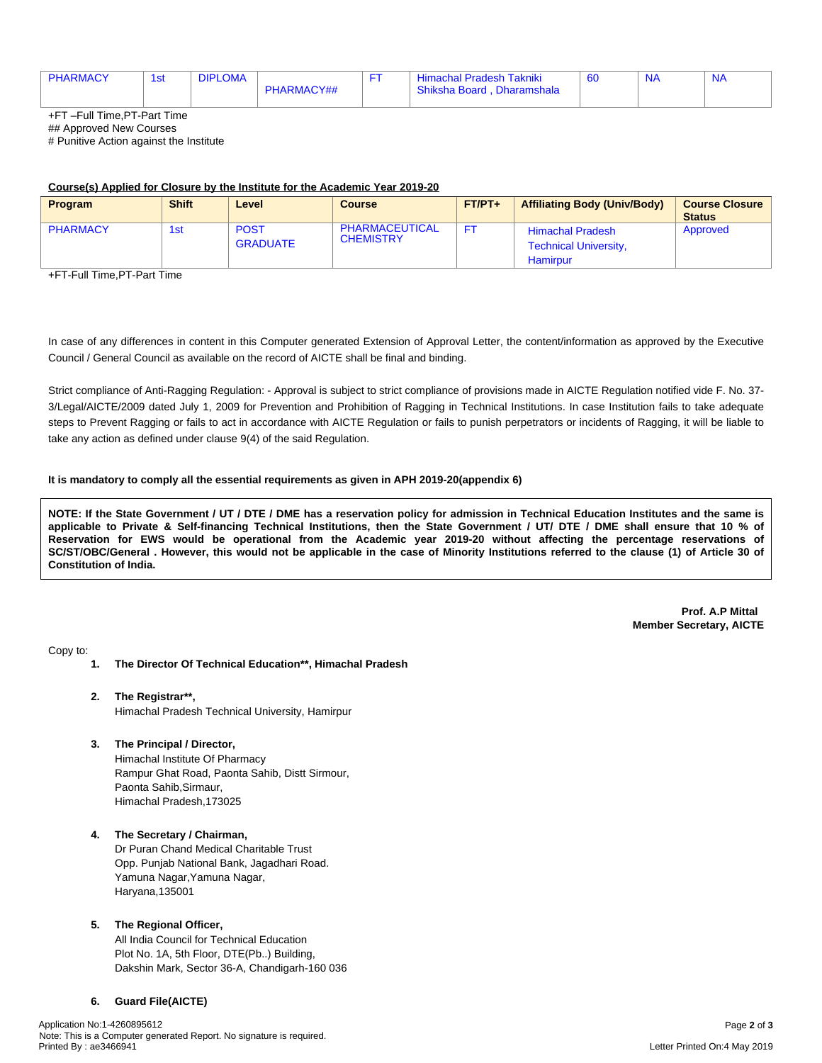| <b>PHARMACY</b> | 1e <sup>2</sup><br>וסו | <b>DIPLOMA</b> |            | <b>Himachal Pradesh Takniki</b> | -60 | $N_{\ell}$ | <b>NA</b> |
|-----------------|------------------------|----------------|------------|---------------------------------|-----|------------|-----------|
|                 |                        |                | PHARMACY## | Shiksha Board, Dharamshala      |     |            |           |

+FT –Full Time,PT-Part Time

## Approved New Courses

# Punitive Action against the Institute

#### **Course(s) Applied for Closure by the Institute for the Academic Year 2019-20**

| <b>Program</b>  | <b>Shift</b> | Level                          | <b>Course</b>                      | $FT/PT+$ | <b>Affiliating Body (Univ/Body)</b>                                 | Course Closure<br><b>Status</b> |
|-----------------|--------------|--------------------------------|------------------------------------|----------|---------------------------------------------------------------------|---------------------------------|
| <b>PHARMACY</b> | 1st          | <b>POST</b><br><b>GRADUATE</b> | PHARMACEUTICAL<br><b>CHEMISTRY</b> |          | <b>Himachal Pradesh</b><br><b>Technical University,</b><br>Hamirpur | Approved                        |

+FT-Full Time,PT-Part Time

In case of any differences in content in this Computer generated Extension of Approval Letter, the content/information as approved by the Executive Council / General Council as available on the record of AICTE shall be final and binding.

Strict compliance of Anti-Ragging Regulation: - Approval is subject to strict compliance of provisions made in AICTE Regulation notified vide F. No. 37- 3/Legal/AICTE/2009 dated July 1, 2009 for Prevention and Prohibition of Ragging in Technical Institutions. In case Institution fails to take adequate steps to Prevent Ragging or fails to act in accordance with AICTE Regulation or fails to punish perpetrators or incidents of Ragging, it will be liable to take any action as defined under clause 9(4) of the said Regulation.

#### **It is mandatory to comply all the essential requirements as given in APH 2019-20(appendix 6)**

NOTE: If the State Government / UT / DTE / DME has a reservation policy for admission in Technical Education Institutes and the same is applicable to Private & Self-financing Technical Institutions, then the State Government / UT/ DTE / DME shall ensure that 10 % of Reservation for EWS would be operational from the Academic year 2019-20 without affecting the percentage reservations of SC/ST/OBC/General . However, this would not be applicable in the case of Minority Institutions referred to the clause (1) of Article 30 of **Constitution of India.**

> **Prof. A.P Mittal Member Secretary, AICTE**

Copy to:

- **1. The Director Of Technical Education\*\*, Himachal Pradesh**
- **2. The Registrar\*\*,** Himachal Pradesh Technical University, Hamirpur
- **3. The Principal / Director,**

Himachal Institute Of Pharmacy Rampur Ghat Road, Paonta Sahib, Distt Sirmour, Paonta Sahib,Sirmaur, Himachal Pradesh,173025

#### **4. The Secretary / Chairman,**

Dr Puran Chand Medical Charitable Trust Opp. Punjab National Bank, Jagadhari Road. Yamuna Nagar,Yamuna Nagar, Haryana,135001

#### **5. The Regional Officer,**

All India Council for Technical Education Plot No. 1A, 5th Floor, DTE(Pb..) Building, Dakshin Mark, Sector 36-A, Chandigarh-160 036

## **6. Guard File(AICTE)**